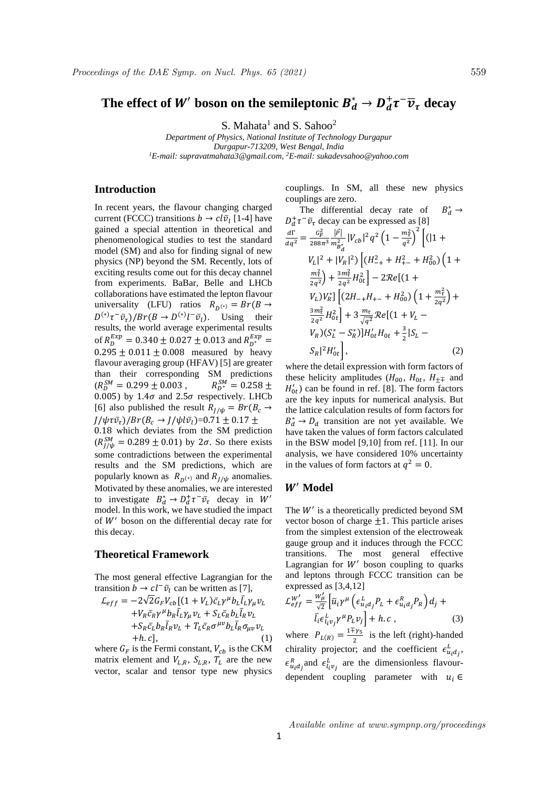# The effect of  $W'$  boson on the semileptonic  $B_d^* \to D_d^+ \tau^- \overline{\nu}_\tau$  decay

S. Mahata<sup>1</sup> and S. Sahoo<sup>2</sup>

*Department of Physics, National Institute of Technology Durgapur Durgapur-713209, West Bengal, India <sup>1</sup>E-mail: supravatmahata3@gmail.com, <sup>2</sup>E-mail: sukadevsahoo@yahoo.com*

## **Introduction**

In recent years, the flavour changing charged current (FCCC) transitions  $b \rightarrow c l \bar{v}_l$  [1-4] have gained a special attention in theoretical and phenomenological studies to test the standard model (SM) and also for finding signal of new physics (NP) beyond the SM. Recently, lots of exciting results come out for this decay channel from experiments. BaBar, Belle and LHCb collaborations have estimated the lepton flavour universality (LFU) ratios  $R_{D^{(*)}} = Br(B \rightarrow$  $D^{(*)}\tau^-\bar{\nu}_{\tau})/Br(B \to D^{(*)}l^-\bar{\nu}_{l}).$  Using their results, the world average experimental results of  $R_D^{Exp} = 0.340 \pm 0.027 \pm 0.013$  and  $R_{D^*}^{Exp} =$  $0.295 \pm 0.011 \pm 0.008$  measured by heavy flavour averaging group (HFAV) [5] are greater than their corresponding SM predictions  $(R_D^{SM} = 0.299 \pm 0.003, \qquad R_D^S$  $S_M^{SM} = 0.258 \pm$ 0.005) by 1.4 $\sigma$  and 2.5 $\sigma$  respectively. LHCb [6] also published the result  $R_{1/\psi} = Br(B_c \rightarrow$  $J/\psi \tau \bar{v}_{\tau}$ )/ $Br(B_c \rightarrow J/\psi l \bar{v}_l)$ =0.71  $\pm$  0.17  $\pm$ 0.18 which deviates from the SM prediction  $(R_{J/\psi}^{SM} = 0.289 \pm 0.01)$  by  $2\sigma$ . So there exists some contradictions between the experimental results and the SM predictions, which are popularly known as  $R_{D^{(*)}}$  and  $R_{J/\psi}$  anomalies. Motivated by these anomalies, we are interested to investigate  $B_d^* \to D_d^+ \tau^- \bar{\nu}_{\tau}$  decay in W' model. In this work, we have studied the impact

### **Theoretical Framework**

this decay.

The most general effective Lagrangian for the transition  $b \to c l^- \bar{v}_l$  can be written as [7],

of  $W'$  boson on the differential decay rate for

$$
\mathcal{L}_{eff} = -2\sqrt{2}G_F V_{cb} \left[ (1 + V_L)\bar{c}_L \gamma^\mu b_L \bar{l}_L \gamma_\mu v_L \right. \n+ V_R \bar{c}_R \gamma^\mu b_R \bar{l}_L \gamma_\mu v_L + S_L \bar{c}_R b_L \bar{l}_R v_L \n+ S_R \bar{c}_L b_R \bar{l}_R v_L + T_L \bar{c}_R \sigma^{\mu\nu} b_L \bar{l}_R \sigma_{\mu\nu} v_L \n+ h.c \right], \tag{1}
$$

where  $G_F$  is the Fermi constant,  $V_{cb}$  is the CKM matrix element and  $V_{L,R}$ ,  $S_{L,R}$ ,  $T_L$  are the new vector, scalar and tensor type new physics couplings. In SM, all these new physics couplings are zero.  $P^*$  →

The differential decay rate of 
$$
B_d^* \rightarrow
$$
  
\n $D_d^+ \tau^- \bar{v}_\tau$  decay can be expressed as [8]  
\n
$$
\frac{d\Gamma}{dq^2} = \frac{c_F^2}{288\pi^3} \frac{|\vec{P}|}{m_{B_d}^2} |V_{cb}|^2 q^2 \left(1 - \frac{m_{\tau}^2}{q^2}\right)^2 \left[ (11 + V_L)^2 + |V_R|^2 \right] \left[ (H_{-+}^2 + H_{+-}^2 + H_{00}^2) \left(1 + \frac{m_{\tau}^2}{2q^2}\right) + \frac{3m_{\tau}^2}{2q^2} H_{0t}^2 \right] - 2\mathcal{R}e \left[ (1 + V_L)^2 \right] \left[ (2H_{-+}H_{+-} + H_{00}^2) \left(1 + \frac{m_{\tau}^2}{2q^2}\right) + \frac{3m_{\tau}^2}{2q^2} H_{0t}^2 \right] + 3\frac{m_{\tau}}{\sqrt{q^2}} \mathcal{R}e \left[ (1 + V_L - V_R)(S_L^* - S_R^*) \right] H_{0t}' H_{0t} + \frac{3}{2} |S_L - S_R|^2 H_{0t}' \right], \tag{2}
$$

where the detail expression with form factors of these helicity amplitudes ( $H_{00}$ ,  $H_{0t}$ ,  $H_{\pm\mp}$  and  $H'_{0t}$ ) can be found in ref. [8]. The form factors are the key inputs for numerical analysis. But the lattice calculation results of form factors for  $B_d^* \rightarrow D_d$  transition are not yet available. We have taken the values of form factors calculated in the BSW model [9,10] from ref. [11]. In our analysis, we have considered 10% uncertainty in the values of form factors at  $q^2 = 0$ .

## ′ **Model**

The  $W'$  is a theoretically predicted beyond SM vector boson of charge  $\pm 1$ . This particle arises from the simplest extension of the electroweak gauge group and it induces through the FCCC transitions. The most general effective Lagrangian for  $W'$  boson coupling to quarks and leptons through FCCC transition can be expressed as [3,4,12]

$$
\mathcal{L}_{eff}^{W'} = \frac{w_{\mu}'}{\sqrt{2}} \left[ \bar{u}_i \gamma^{\mu} \left( \epsilon_{u_i d_j}^L P_L + \epsilon_{u_i d_j}^R P_R \right) d_j + \bar{l}_i \epsilon_{l_i v_j}^L \gamma^{\mu} P_L v_j \right] + h.c ,
$$
\n(3)

where  $P_{L(R)} = \frac{1 \overline{+} \gamma_5}{2}$  $\frac{f_{1}}{2}$  is the left (right)-handed chirality projector; and the coefficient  $\epsilon_{u_i d_j}^L$ ,  $\epsilon_{u_i d_j}^R$  and  $\epsilon_{l_i v_j}^L$  are the dimensionless flavourdependent coupling parameter with  $u_i \in$